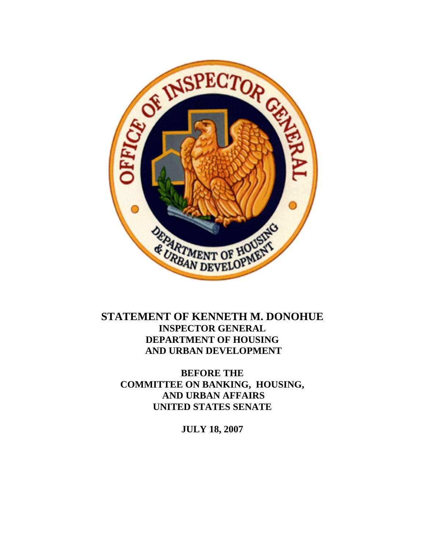

## **STATEMENT OF KENNETH M. DONOHUE INSPECTOR GENERAL DEPARTMENT OF HOUSING AND URBAN DEVELOPMENT**

**BEFORE THE COMMITTEE ON BANKING, HOUSING, AND URBAN AFFAIRS UNITED STATES SENATE** 

**JULY 18, 2007**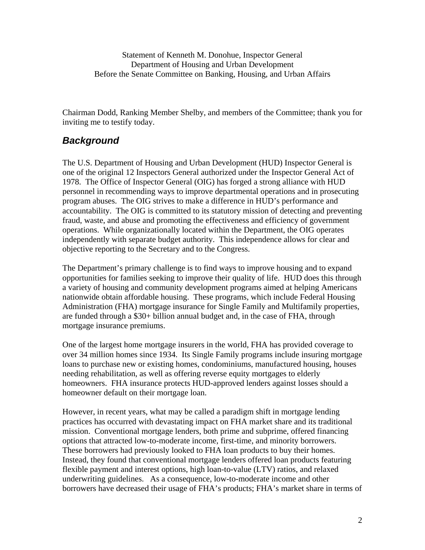Chairman Dodd, Ranking Member Shelby, and members of the Committee; thank you for inviting me to testify today.

## *Background*

The U.S. Department of Housing and Urban Development (HUD) Inspector General is one of the original 12 Inspectors General authorized under the Inspector General Act of 1978. The Office of Inspector General (OIG) has forged a strong alliance with HUD personnel in recommending ways to improve departmental operations and in prosecuting program abuses. The OIG strives to make a difference in HUD's performance and accountability. The OIG is committed to its statutory mission of detecting and preventing fraud, waste, and abuse and promoting the effectiveness and efficiency of government operations. While organizationally located within the Department, the OIG operates independently with separate budget authority. This independence allows for clear and objective reporting to the Secretary and to the Congress.

The Department's primary challenge is to find ways to improve housing and to expand opportunities for families seeking to improve their quality of life. HUD does this through a variety of housing and community development programs aimed at helping Americans nationwide obtain affordable housing. These programs, which include Federal Housing Administration (FHA) mortgage insurance for Single Family and Multifamily properties, are funded through a \$30+ billion annual budget and, in the case of FHA, through mortgage insurance premiums.

One of the largest home mortgage insurers in the world, FHA has provided coverage to over 34 million homes since 1934. Its Single Family programs include insuring mortgage loans to purchase new or existing homes, condominiums, manufactured housing, houses needing rehabilitation, as well as offering reverse equity mortgages to elderly homeowners. FHA insurance protects HUD-approved lenders against losses should a homeowner default on their mortgage loan.

However, in recent years, what may be called a paradigm shift in mortgage lending practices has occurred with devastating impact on FHA market share and its traditional mission. Conventional mortgage lenders, both prime and subprime, offered financing options that attracted low-to-moderate income, first-time, and minority borrowers. These borrowers had previously looked to FHA loan products to buy their homes. Instead, they found that conventional mortgage lenders offered loan products featuring flexible payment and interest options, high loan-to-value (LTV) ratios, and relaxed underwriting guidelines. As a consequence, low-to-moderate income and other borrowers have decreased their usage of FHA's products; FHA's market share in terms of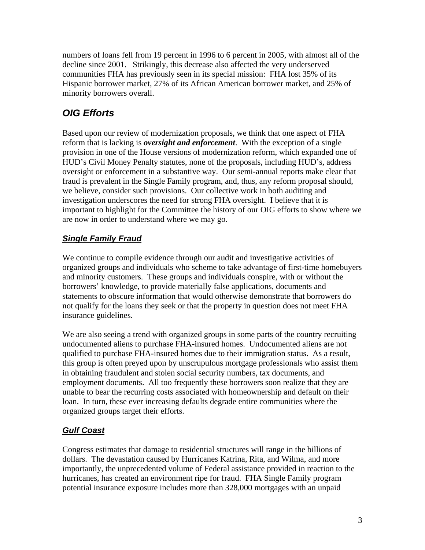numbers of loans fell from 19 percent in 1996 to 6 percent in 2005, with almost all of the decline since 2001. Strikingly, this decrease also affected the very underserved communities FHA has previously seen in its special mission: FHA lost 35% of its Hispanic borrower market, 27% of its African American borrower market, and 25% of minority borrowers overall.

# *OIG Efforts*

 Based upon our review of modernization proposals, we think that one aspect of FHA reform that is lacking is *oversight and enforcement*. With the exception of a single provision in one of the House versions of modernization reform, which expanded one of HUD's Civil Money Penalty statutes, none of the proposals, including HUD's, address oversight or enforcement in a substantive way. Our semi-annual reports make clear that fraud is prevalent in the Single Family program, and, thus, any reform proposal should, we believe, consider such provisions. Our collective work in both auditing and investigation underscores the need for strong FHA oversight. I believe that it is important to highlight for the Committee the history of our OIG efforts to show where we are now in order to understand where we may go.

### *Single Family Fraud*

We continue to compile evidence through our audit and investigative activities of organized groups and individuals who scheme to take advantage of first-time homebuyers and minority customers. These groups and individuals conspire, with or without the borrowers' knowledge, to provide materially false applications, documents and statements to obscure information that would otherwise demonstrate that borrowers do not qualify for the loans they seek or that the property in question does not meet FHA insurance guidelines.

We are also seeing a trend with organized groups in some parts of the country recruiting undocumented aliens to purchase FHA-insured homes. Undocumented aliens are not qualified to purchase FHA-insured homes due to their immigration status. As a result, this group is often preyed upon by unscrupulous mortgage professionals who assist them in obtaining fraudulent and stolen social security numbers, tax documents, and employment documents. All too frequently these borrowers soon realize that they are unable to bear the recurring costs associated with homeownership and default on their loan. In turn, these ever increasing defaults degrade entire communities where the organized groups target their efforts.

### *Gulf Coast*

Congress estimates that damage to residential structures will range in the billions of dollars. The devastation caused by Hurricanes Katrina, Rita, and Wilma, and more importantly, the unprecedented volume of Federal assistance provided in reaction to the hurricanes, has created an environment ripe for fraud. FHA Single Family program potential insurance exposure includes more than 328,000 mortgages with an unpaid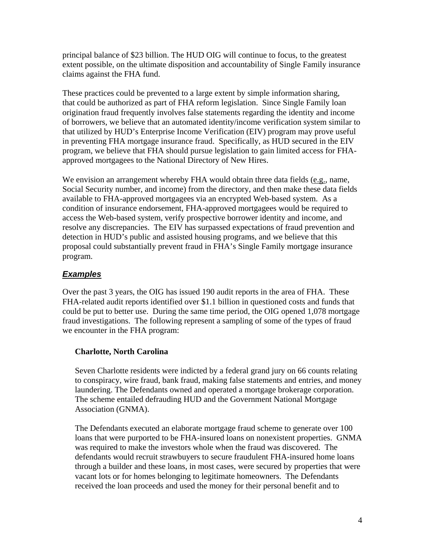principal balance of \$23 billion. The HUD OIG will continue to focus, to the greatest extent possible, on the ultimate disposition and accountability of Single Family insurance claims against the FHA fund.

These practices could be prevented to a large extent by simple information sharing, that could be authorized as part of FHA reform legislation. Since Single Family loan origination fraud frequently involves false statements regarding the identity and income of borrowers, we believe that an automated identity/income verification system similar to that utilized by HUD's Enterprise Income Verification (EIV) program may prove useful in preventing FHA mortgage insurance fraud. Specifically, as HUD secured in the EIV program, we believe that FHA should pursue legislation to gain limited access for FHAapproved mortgagees to the National Directory of New Hires.

We envision an arrangement whereby FHA would obtain three data fields  $(e.g.,$  name, Social Security number, and income) from the directory, and then make these data fields available to FHA-approved mortgagees via an encrypted Web-based system. As a condition of insurance endorsement, FHA-approved mortgagees would be required to access the Web-based system, verify prospective borrower identity and income, and resolve any discrepancies. The EIV has surpassed expectations of fraud prevention and detection in HUD's public and assisted housing programs, and we believe that this proposal could substantially prevent fraud in FHA's Single Family mortgage insurance program.

#### *Examples*

Over the past 3 years, the OIG has issued 190 audit reports in the area of FHA. These FHA-related audit reports identified over \$1.1 billion in questioned costs and funds that could be put to better use. During the same time period, the OIG opened 1,078 mortgage fraud investigations. The following represent a sampling of some of the types of fraud we encounter in the FHA program:

#### **Charlotte, North Carolina**

Seven Charlotte residents were indicted by a federal grand jury on 66 counts relating to conspiracy, wire fraud, bank fraud, making false statements and entries, and money laundering. The Defendants owned and operated a mortgage brokerage corporation. The scheme entailed defrauding HUD and the Government National Mortgage Association (GNMA).

The Defendants executed an elaborate mortgage fraud scheme to generate over 100 loans that were purported to be FHA-insured loans on nonexistent properties. GNMA was required to make the investors whole when the fraud was discovered. The defendants would recruit strawbuyers to secure fraudulent FHA-insured home loans through a builder and these loans, in most cases, were secured by properties that were vacant lots or for homes belonging to legitimate homeowners. The Defendants received the loan proceeds and used the money for their personal benefit and to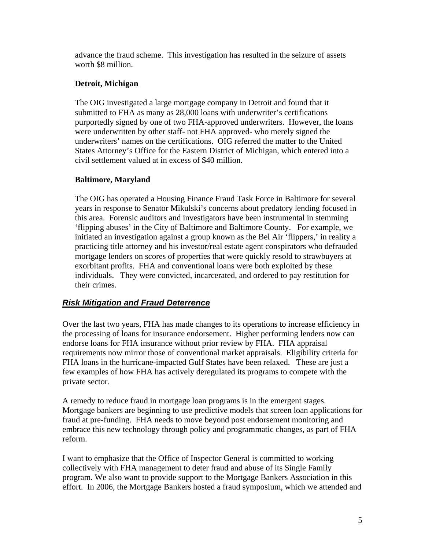advance the fraud scheme. This investigation has resulted in the seizure of assets worth \$8 million.

#### **Detroit, Michigan**

The OIG investigated a large mortgage company in Detroit and found that it submitted to FHA as many as 28,000 loans with underwriter's certifications purportedly signed by one of two FHA-approved underwriters. However, the loans were underwritten by other staff- not FHA approved- who merely signed the underwriters' names on the certifications. OIG referred the matter to the United States Attorney's Office for the Eastern District of Michigan, which entered into a civil settlement valued at in excess of \$40 million.

#### **Baltimore, Maryland**

The OIG has operated a Housing Finance Fraud Task Force in Baltimore for several years in response to Senator Mikulski's concerns about predatory lending focused in this area. Forensic auditors and investigators have been instrumental in stemming 'flipping abuses' in the City of Baltimore and Baltimore County. For example, we initiated an investigation against a group known as the Bel Air 'flippers,' in reality a practicing title attorney and his investor/real estate agent conspirators who defrauded mortgage lenders on scores of properties that were quickly resold to strawbuyers at exorbitant profits. FHA and conventional loans were both exploited by these individuals. They were convicted, incarcerated, and ordered to pay restitution for their crimes.

#### *Risk Mitigation and Fraud Deterrence*

Over the last two years, FHA has made changes to its operations to increase efficiency in the processing of loans for insurance endorsement. Higher performing lenders now can endorse loans for FHA insurance without prior review by FHA. FHA appraisal requirements now mirror those of conventional market appraisals. Eligibility criteria for FHA loans in the hurricane-impacted Gulf States have been relaxed. These are just a few examples of how FHA has actively deregulated its programs to compete with the private sector.

A remedy to reduce fraud in mortgage loan programs is in the emergent stages. Mortgage bankers are beginning to use predictive models that screen loan applications for fraud at pre-funding. FHA needs to move beyond post endorsement monitoring and embrace this new technology through policy and programmatic changes, as part of FHA reform.

 I want to emphasize that the Office of Inspector General is committed to working collectively with FHA management to deter fraud and abuse of its Single Family program. We also want to provide support to the Mortgage Bankers Association in this effort. In 2006, the Mortgage Bankers hosted a fraud symposium, which we attended and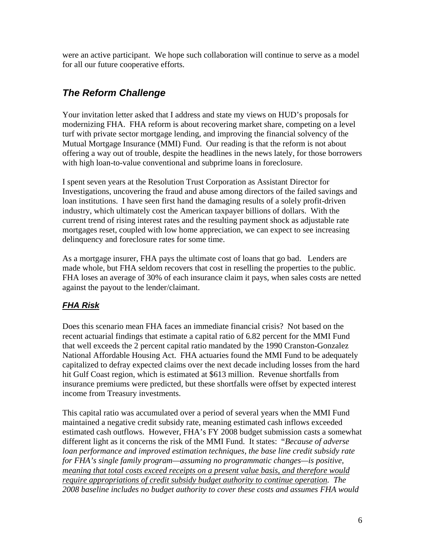were an active participant. We hope such collaboration will continue to serve as a model for all our future cooperative efforts.

## *The Reform Challenge*

Your invitation letter asked that I address and state my views on HUD's proposals for modernizing FHA. FHA reform is about recovering market share, competing on a level turf with private sector mortgage lending, and improving the financial solvency of the Mutual Mortgage Insurance (MMI) Fund. Our reading is that the reform is not about offering a way out of trouble, despite the headlines in the news lately, for those borrowers with high loan-to-value conventional and subprime loans in foreclosure.

I spent seven years at the Resolution Trust Corporation as Assistant Director for Investigations, uncovering the fraud and abuse among directors of the failed savings and loan institutions. I have seen first hand the damaging results of a solely profit-driven industry, which ultimately cost the American taxpayer billions of dollars. With the current trend of rising interest rates and the resulting payment shock as adjustable rate mortgages reset, coupled with low home appreciation, we can expect to see increasing delinquency and foreclosure rates for some time.

As a mortgage insurer, FHA pays the ultimate cost of loans that go bad. Lenders are made whole, but FHA seldom recovers that cost in reselling the properties to the public. FHA loses an average of 30% of each insurance claim it pays, when sales costs are netted against the payout to the lender/claimant.

### *FHA Risk*

Does this scenario mean FHA faces an immediate financial crisis? Not based on the recent actuarial findings that estimate a capital ratio of 6.82 percent for the MMI Fund that well exceeds the 2 percent capital ratio mandated by the 1990 Cranston-Gonzalez National Affordable Housing Act. FHA actuaries found the MMI Fund to be adequately capitalized to defray expected claims over the next decade including losses from the hard hit Gulf Coast region, which is estimated at \$613 million. Revenue shortfalls from insurance premiums were predicted, but these shortfalls were offset by expected interest income from Treasury investments.

This capital ratio was accumulated over a period of several years when the MMI Fund maintained a negative credit subsidy rate, meaning estimated cash inflows exceeded estimated cash outflows. However, FHA's FY 2008 budget submission casts a somewhat different light as it concerns the risk of the MMI Fund. It states: "*Because of adverse loan performance and improved estimation techniques, the base line credit subsidy rate for FHA's single family program—assuming no programmatic changes—is positive, meaning that total costs exceed receipts on a present value basis, and therefore would require appropriations of credit subsidy budget authority to continue operation. The 2008 baseline includes no budget authority to cover these costs and assumes FHA would*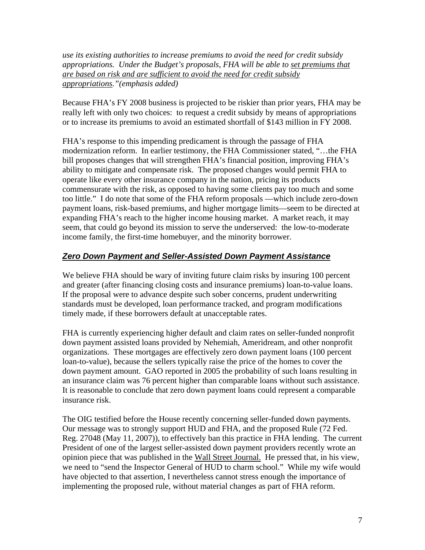*use its existing authorities to increase premiums to avoid the need for credit subsidy appropriations. Under the Budget's proposals, FHA will be able to set premiums that are based on risk and are sufficient to avoid the need for credit subsidy appropriations."(emphasis added)*

Because FHA's FY 2008 business is projected to be riskier than prior years, FHA may be really left with only two choices: to request a credit subsidy by means of appropriations or to increase its premiums to avoid an estimated shortfall of \$143 million in FY 2008.

FHA's response to this impending predicament is through the passage of FHA modernization reform. In earlier testimony, the FHA Commissioner stated, "…the FHA bill proposes changes that will strengthen FHA's financial position, improving FHA's ability to mitigate and compensate risk. The proposed changes would permit FHA to operate like every other insurance company in the nation, pricing its products commensurate with the risk, as opposed to having some clients pay too much and some too little." I do note that some of the FHA reform proposals —which include zero-down payment loans, risk-based premiums, and higher mortgage limits—seem to be directed at expanding FHA's reach to the higher income housing market. A market reach, it may seem, that could go beyond its mission to serve the underserved: the low-to-moderate income family, the first-time homebuyer, and the minority borrower.

#### *Zero Down Payment and Seller-Assisted Down Payment Assistance*

We believe FHA should be wary of inviting future claim risks by insuring 100 percent and greater (after financing closing costs and insurance premiums) loan-to-value loans. If the proposal were to advance despite such sober concerns, prudent underwriting standards must be developed, loan performance tracked, and program modifications timely made, if these borrowers default at unacceptable rates.

FHA is currently experiencing higher default and claim rates on seller-funded nonprofit down payment assisted loans provided by Nehemiah, Ameridream, and other nonprofit organizations. These mortgages are effectively zero down payment loans (100 percent loan-to-value), because the sellers typically raise the price of the homes to cover the down payment amount. GAO reported in 2005 the probability of such loans resulting in an insurance claim was 76 percent higher than comparable loans without such assistance. It is reasonable to conclude that zero down payment loans could represent a comparable insurance risk.

The OIG testified before the House recently concerning seller-funded down payments. Our message was to strongly support HUD and FHA, and the proposed Rule (72 Fed. Reg. 27048 (May 11, 2007)), to effectively ban this practice in FHA lending. The current President of one of the largest seller-assisted down payment providers recently wrote an opinion piece that was published in the Wall Street Journal. He pressed that, in his view, we need to "send the Inspector General of HUD to charm school." While my wife would have objected to that assertion, I nevertheless cannot stress enough the importance of implementing the proposed rule, without material changes as part of FHA reform.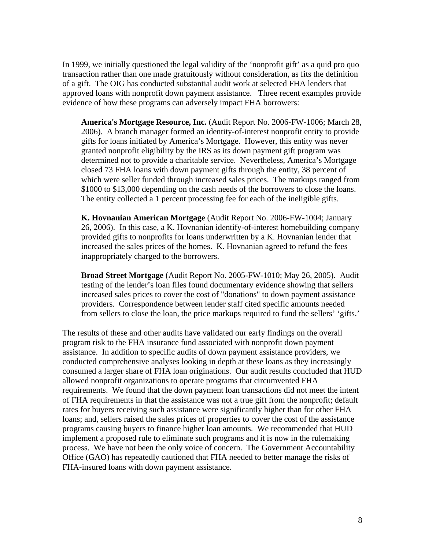In 1999, we initially questioned the legal validity of the 'nonprofit gift' as a quid pro quo transaction rather than one made gratuitously without consideration, as fits the definition of a gift. The OIG has conducted substantial audit work at selected FHA lenders that approved loans with nonprofit down payment assistance. Three recent examples provide evidence of how these programs can adversely impact FHA borrowers:

**America's Mortgage Resource, Inc.** (Audit Report No. 2006-FW-1006; March 28, 2006). A branch manager formed an identity-of-interest nonprofit entity to provide gifts for loans initiated by America's Mortgage. However, this entity was never granted nonprofit eligibility by the IRS as its down payment gift program was determined not to provide a charitable service. Nevertheless, America's Mortgage closed 73 FHA loans with down payment gifts through the entity, 38 percent of which were seller funded through increased sales prices. The markups ranged from \$1000 to \$13,000 depending on the cash needs of the borrowers to close the loans. The entity collected a 1 percent processing fee for each of the ineligible gifts.

**K. Hovnanian American Mortgage** (Audit Report No. 2006-FW-1004; January 26, 2006). In this case, a K. Hovnanian identify-of-interest homebuilding company provided gifts to nonprofits for loans underwritten by a K. Hovnanian lender that increased the sales prices of the homes. K. Hovnanian agreed to refund the fees inappropriately charged to the borrowers.

**Broad Street Mortgage** (Audit Report No. 2005-FW-1010; May 26, 2005). Audit testing of the lender's loan files found documentary evidence showing that sellers increased sales prices to cover the cost of "donations" to down payment assistance providers. Correspondence between lender staff cited specific amounts needed from sellers to close the loan, the price markups required to fund the sellers' 'gifts.'

The results of these and other audits have validated our early findings on the overall program risk to the FHA insurance fund associated with nonprofit down payment assistance. In addition to specific audits of down payment assistance providers, we conducted comprehensive analyses looking in depth at these loans as they increasingly consumed a larger share of FHA loan originations. Our audit results concluded that HUD allowed nonprofit organizations to operate programs that circumvented FHA requirements. We found that the down payment loan transactions did not meet the intent of FHA requirements in that the assistance was not a true gift from the nonprofit; default rates for buyers receiving such assistance were significantly higher than for other FHA loans; and, sellers raised the sales prices of properties to cover the cost of the assistance programs causing buyers to finance higher loan amounts. We recommended that HUD implement a proposed rule to eliminate such programs and it is now in the rulemaking process. We have not been the only voice of concern. The Government Accountability Office (GAO) has repeatedly cautioned that FHA needed to better manage the risks of FHA-insured loans with down payment assistance.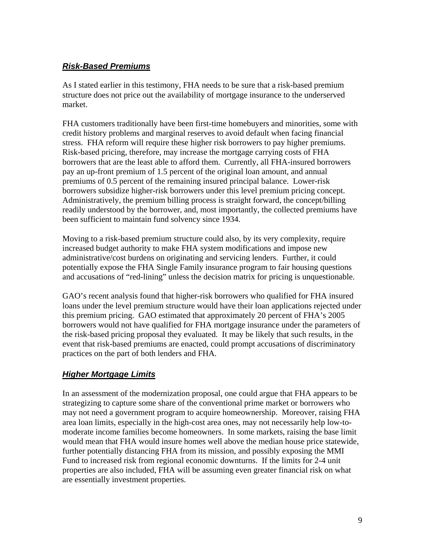#### *Risk-Based Premiums*

As I stated earlier in this testimony, FHA needs to be sure that a risk-based premium structure does not price out the availability of mortgage insurance to the underserved market.

FHA customers traditionally have been first-time homebuyers and minorities, some with credit history problems and marginal reserves to avoid default when facing financial stress. FHA reform will require these higher risk borrowers to pay higher premiums. Risk-based pricing, therefore, may increase the mortgage carrying costs of FHA borrowers that are the least able to afford them. Currently, all FHA-insured borrowers pay an up-front premium of 1.5 percent of the original loan amount, and annual premiums of 0.5 percent of the remaining insured principal balance. Lower-risk borrowers subsidize higher-risk borrowers under this level premium pricing concept. Administratively, the premium billing process is straight forward, the concept/billing readily understood by the borrower, and, most importantly, the collected premiums have been sufficient to maintain fund solvency since 1934.

Moving to a risk-based premium structure could also, by its very complexity, require increased budget authority to make FHA system modifications and impose new administrative/cost burdens on originating and servicing lenders. Further, it could potentially expose the FHA Single Family insurance program to fair housing questions and accusations of "red-lining" unless the decision matrix for pricing is unquestionable.

GAO's recent analysis found that higher-risk borrowers who qualified for FHA insured loans under the level premium structure would have their loan applications rejected under this premium pricing. GAO estimated that approximately 20 percent of FHA's 2005 borrowers would not have qualified for FHA mortgage insurance under the parameters of the risk-based pricing proposal they evaluated. It may be likely that such results, in the event that risk-based premiums are enacted, could prompt accusations of discriminatory practices on the part of both lenders and FHA.

### *Higher Mortgage Limits*

In an assessment of the modernization proposal, one could argue that FHA appears to be strategizing to capture some share of the conventional prime market or borrowers who may not need a government program to acquire homeownership. Moreover, raising FHA area loan limits, especially in the high-cost area ones, may not necessarily help low-tomoderate income families become homeowners. In some markets, raising the base limit would mean that FHA would insure homes well above the median house price statewide, further potentially distancing FHA from its mission, and possibly exposing the MMI Fund to increased risk from regional economic downturns. If the limits for 2-4 unit properties are also included, FHA will be assuming even greater financial risk on what are essentially investment properties.